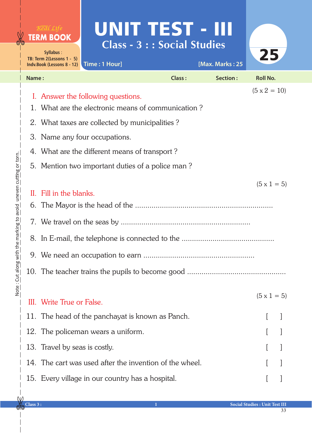|          | Real Life<br><b>TERM BOOK</b><br>Syllabus:<br>TB: Term 2(Lessons 1 - 5)<br>Indv.Book (Lessons 8 - 12) | Time: 1 Hour]                                                                            | UNIT TEST - III<br><b>Class - 3 : : Social Studies</b> | [Max. Marks: 25 | 25                  |  |  |
|----------|-------------------------------------------------------------------------------------------------------|------------------------------------------------------------------------------------------|--------------------------------------------------------|-----------------|---------------------|--|--|
| Name:    |                                                                                                       |                                                                                          | <b>Class:</b>                                          | Section:        | <b>Roll No.</b>     |  |  |
|          |                                                                                                       | I. Answer the following questions.<br>1. What are the electronic means of communication? |                                                        |                 | $(5 \times 2 = 10)$ |  |  |
|          | 2. What taxes are collected by municipalities?                                                        |                                                                                          |                                                        |                 |                     |  |  |
|          | 3. Name any four occupations.                                                                         |                                                                                          |                                                        |                 |                     |  |  |
|          | 4. What are the different means of transport?<br>5. Mention two important duties of a police man?     |                                                                                          |                                                        |                 |                     |  |  |
| H.<br>6. | $(5 \times 1 = 5)$<br>Fill in the blanks.                                                             |                                                                                          |                                                        |                 |                     |  |  |
|          | III. Write True or False.                                                                             |                                                                                          |                                                        |                 | $(5 \times 1 = 5)$  |  |  |
|          |                                                                                                       | 11. The head of the panchayat is known as Panch.                                         |                                                        |                 |                     |  |  |
|          |                                                                                                       | 12. The policeman wears a uniform.                                                       |                                                        |                 |                     |  |  |
|          | 13. Travel by seas is costly.                                                                         |                                                                                          |                                                        |                 |                     |  |  |
|          |                                                                                                       | 14. The cart was used after the invention of the wheel.                                  |                                                        |                 |                     |  |  |
|          |                                                                                                       | 15. Every village in our country has a hospital.                                         |                                                        |                 |                     |  |  |